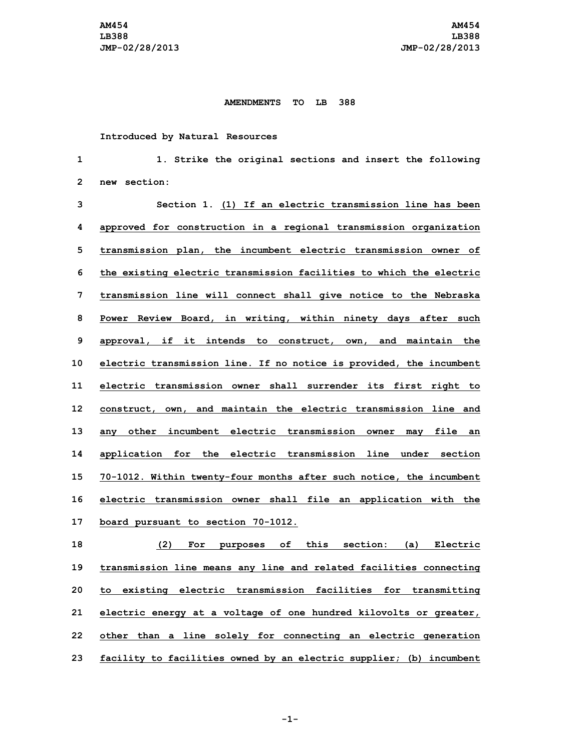## **AMENDMENTS TO LB 388**

## **Introduced by Natural Resources**

 **1. Strike the original sections and insert the following new section: Section 1. (1) If an electric transmission line has been approved for construction in <sup>a</sup> regional transmission organization transmission plan, the incumbent electric transmission owner of the existing electric transmission facilities to which the electric transmission line will connect shall give notice to the Nebraska Power Review Board, in writing, within ninety days after such approval, if it intends to construct, own, and maintain the electric transmission line. If no notice is provided, the incumbent electric transmission owner shall surrender its first right to construct, own, and maintain the electric transmission line and any other incumbent electric transmission owner may file an application for the electric transmission line under section 70-1012. Within twenty-four months after such notice, the incumbent electric transmission owner shall file an application with the board pursuant to section 70-1012. (2) For purposes of this section: (a) Electric**

 **transmission line means any line and related facilities connecting to existing electric transmission facilities for transmitting electric energy at <sup>a</sup> voltage of one hundred kilovolts or greater, other than <sup>a</sup> line solely for connecting an electric generation facility to facilities owned by an electric supplier; (b) incumbent**

**-1-**